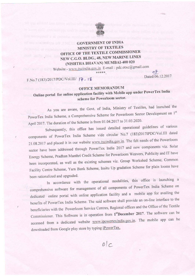

## GOVERNMENT OF INDIA MINISTRY OF TEXTILES OFFICE OF THE TEXTILE COMMISSIONER NEW C.G.O. BLDG.,48, NEW MARINE LINES (NISHTHA BHAVAN) MUMBAI-400 020

Website - www.txcindia.gov.in E-mail : pdc.otxc@gmail.com \*\*\*\*\*: 07

## F.No.7 (183)/2017/PDC/Vol.III/  $7 - 18$  Dated:06.12.2017

## OFFICE MEMORANDUM

Online portal for online application facility with Mobile app under PowerTex India<br>scheme for Powerloom sector.

As you are aware, the Govt. of India, Ministry of Textiles, had launched the PowerTex India Scheme, a Comprehensive Scheme for Powerloom Sector Development on 1st April 2017. The duration of the Scheme is from 01.04.2017 to 31.03.2020.

Subsequently, this office has issued detailed operational guidelines of various components of PowerTex India Scheme vide circular No.7 (183)2017IPDC/Vol.III dated 21.08.2017 and placed it in our website www.txcindia.gov.in. The felt needs of the Powerloom sector have been addressed through PowerTex India 2017 and new components viz. Solar Energy Scheme, Pradhan Manthri Credit Scheme for Powerloom Weavers' Publicity and IT have been incorporated, as well as the existing schemes viz. Group Workshed Scheme, Common Facility Centre Scheme, Yarn Bank Scheme, Insitu Up gradation Scheme for plain looms have been rationalized and upgraded.

In accordance with the operational modalities, this office is launching a comprehensive software for management of all components of PowerTex India Scheme on dedicated online portal with online application facility and a mobile app for availing the benefits of PowerTex India Scheme. The said software shall provide an on-line interface to the beneficiaries with the Powerloom Service Centres, Regional offices and the Office of the Textile Commissioner. This Software is in operation from 1stDecember 2017. The software can be accessed from a dedicated website www.ipowertexindia.gov.in. The mobile app can be downloaded from Google play store by typing iPowerTex.

 $O|C$